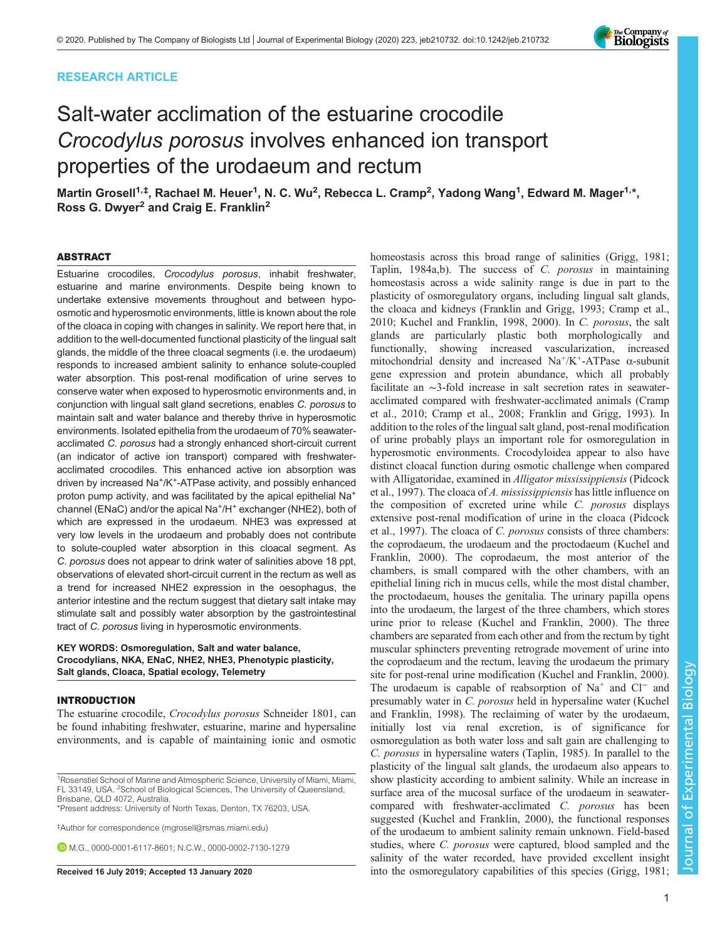# RESEARCH ARTICLE



# Salt-water acclimation of the estuarine crocodile Crocodylus porosus involves enhanced ion transport properties of the urodaeum and rectum

Martin Grosell<sup>1,‡</sup>, Rachael M. Heuer<sup>1</sup>, N. C. Wu<sup>2</sup>, Rebecca L. Cramp<sup>2</sup>, Yadong Wang<sup>1</sup>, Edward M. Mager<sup>1,∗</sup>, Ross G. Dwyer<sup>2</sup> and Craig E. Franklin<sup>2</sup>

#### ABSTRACT

Estuarine crocodiles, Crocodylus porosus, inhabit freshwater, estuarine and marine environments. Despite being known to undertake extensive movements throughout and between hypoosmotic and hyperosmotic environments, little is known about the role of the cloaca in coping with changes in salinity. We report here that, in addition to the well-documented functional plasticity of the lingual salt glands, the middle of the three cloacal segments (i.e. the urodaeum) responds to increased ambient salinity to enhance solute-coupled water absorption. This post-renal modification of urine serves to conserve water when exposed to hyperosmotic environments and, in conjunction with lingual salt gland secretions, enables C. porosus to maintain salt and water balance and thereby thrive in hyperosmotic environments. Isolated epithelia from the urodaeum of 70% seawateracclimated C. porosus had a strongly enhanced short-circuit current (an indicator of active ion transport) compared with freshwateracclimated crocodiles. This enhanced active ion absorption was driven by increased Na+/K+-ATPase activity, and possibly enhanced proton pump activity, and was facilitated by the apical epithelial Na<sup>+</sup> channel (ENaC) and/or the apical Na<sup>+</sup>/H<sup>+</sup> exchanger (NHE2), both of which are expressed in the urodaeum. NHE3 was expressed at very low levels in the urodaeum and probably does not contribute to solute-coupled water absorption in this cloacal segment. As C. porosus does not appear to drink water of salinities above 18 ppt, observations of elevated short-circuit current in the rectum as well as a trend for increased NHE2 expression in the oesophagus, the anterior intestine and the rectum suggest that dietary salt intake may stimulate salt and possibly water absorption by the gastrointestinal tract of C. porosus living in hyperosmotic environments.

## KEY WORDS: Osmoregulation, Salt and water balance, Crocodylians, NKA, ENaC, NHE2, NHE3, Phenotypic plasticity, Salt glands, Cloaca, Spatial ecology, Telemetry

#### INTRODUCTION

The estuarine crocodile, Crocodylus porosus Schneider 1801, can be found inhabiting freshwater, estuarine, marine and hypersaline environments, and is capable of maintaining ionic and osmotic

‡ Author for correspondence ([mgrosell@rsmas.miami.edu\)](mailto:mgrosell@rsmas.miami.edu)

M.G., [0000-0001-6117-8601;](http://orcid.org/0000-0001-6117-8601) N.C.W., [0000-0002-7130-1279](http://orcid.org/0000-0002-7130-1279)

homeostasis across this broad range of salinities [\(Grigg, 1981](#page-8-0); [Taplin, 1984a,b](#page-9-0)). The success of C. porosus in maintaining homeostasis across a wide salinity range is due in part to the plasticity of osmoregulatory organs, including lingual salt glands, the cloaca and kidneys [\(Franklin and Grigg, 1993; Cramp et al.,](#page-8-0) [2010; Kuchel and Franklin, 1998](#page-8-0), [2000](#page-8-0)). In C. porosus, the salt glands are particularly plastic both morphologically and functionally, showing increased vascularization, increased mitochondrial density and increased  $Na^+/K^+$ -ATPase  $\alpha$ -subunit gene expression and protein abundance, which all probably facilitate an ∼3-fold increase in salt secretion rates in seawateracclimated compared with freshwater-acclimated animals ([Cramp](#page-8-0) [et al., 2010](#page-8-0); [Cramp et al., 2008; Franklin and Grigg, 1993\)](#page-8-0). In addition to the roles of the lingual salt gland, post-renal modification of urine probably plays an important role for osmoregulation in hyperosmotic environments. Crocodyloidea appear to also have distinct cloacal function during osmotic challenge when compared with Alligatoridae, examined in *Alligator mississippiensis* ([Pidcock](#page-9-0) [et al., 1997\)](#page-9-0). The cloaca of A. mississippiensis has little influence on the composition of excreted urine while C. porosus displays extensive post-renal modification of urine in the cloaca ([Pidcock](#page-9-0) [et al., 1997\)](#page-9-0). The cloaca of C. porosus consists of three chambers: the coprodaeum, the urodaeum and the proctodaeum ([Kuchel and](#page-8-0) [Franklin, 2000\)](#page-8-0). The coprodaeum, the most anterior of the chambers, is small compared with the other chambers, with an epithelial lining rich in mucus cells, while the most distal chamber, the proctodaeum, houses the genitalia. The urinary papilla opens into the urodaeum, the largest of the three chambers, which stores urine prior to release ([Kuchel and Franklin, 2000](#page-8-0)). The three chambers are separated from each other and from the rectum by tight muscular sphincters preventing retrograde movement of urine into the coprodaeum and the rectum, leaving the urodaeum the primary site for post-renal urine modification ([Kuchel and Franklin, 2000\)](#page-8-0). The urodaeum is capable of reabsorption of Na<sup>+</sup> and Cl<sup>−</sup> and presumably water in C. porosus held in hypersaline water ([Kuchel](#page-8-0) [and Franklin, 1998\)](#page-8-0). The reclaiming of water by the urodaeum, initially lost via renal excretion, is of significance for osmoregulation as both water loss and salt gain are challenging to C. porosus in hypersaline waters [\(Taplin, 1985\)](#page-9-0). In parallel to the plasticity of the lingual salt glands, the urodaeum also appears to show plasticity according to ambient salinity. While an increase in surface area of the mucosal surface of the urodaeum in seawatercompared with freshwater-acclimated C. porosus has been suggested ([Kuchel and Franklin, 2000](#page-8-0)), the functional responses of the urodaeum to ambient salinity remain unknown. Field-based studies, where C. porosus were captured, blood sampled and the salinity of the water recorded, have provided excellent insight Received 16 July 2019; Accepted 13 January 2020 into the osmoregulatory capabilities of this species ([Grigg, 1981](#page-8-0);

<sup>&</sup>lt;sup>1</sup>Rosenstiel School of Marine and Atmospheric Science, University of Miami, Miami, FL 33149, USA. <sup>2</sup>School of Biological Sciences, The University of Queensland, Brisbane, QLD 4072, Australia.

<sup>\*</sup>Present address: University of North Texas, Denton, TX 76203, USA.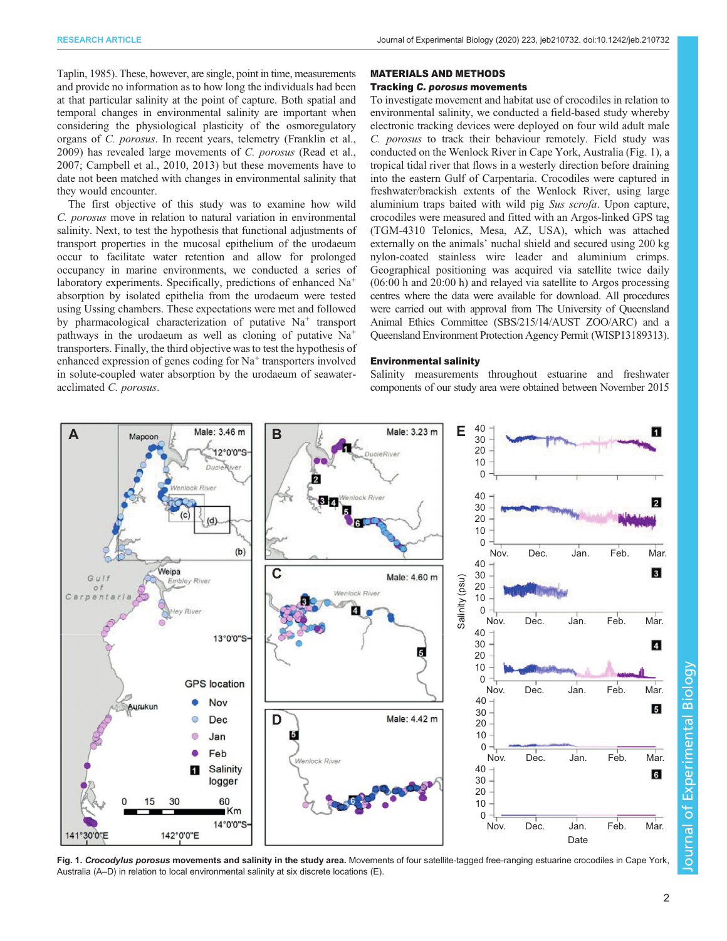<span id="page-1-0"></span>[Taplin, 1985\)](#page-9-0). These, however, are single, point in time, measurements and provide no information as to how long the individuals had been at that particular salinity at the point of capture. Both spatial and temporal changes in environmental salinity are important when considering the physiological plasticity of the osmoregulatory organs of C. porosus. In recent years, telemetry ([Franklin et al.,](#page-8-0) [2009](#page-8-0)) has revealed large movements of C. porosus [\(Read et al.,](#page-9-0) [2007](#page-9-0); [Campbell et al., 2010, 2013](#page-8-0)) but these movements have to date not been matched with changes in environmental salinity that they would encounter.

The first objective of this study was to examine how wild C. porosus move in relation to natural variation in environmental salinity. Next, to test the hypothesis that functional adjustments of transport properties in the mucosal epithelium of the urodaeum occur to facilitate water retention and allow for prolonged occupancy in marine environments, we conducted a series of laboratory experiments. Specifically, predictions of enhanced Na<sup>+</sup> absorption by isolated epithelia from the urodaeum were tested using Ussing chambers. These expectations were met and followed by pharmacological characterization of putative  $Na<sup>+</sup>$  transport pathways in the urodaeum as well as cloning of putative  $Na<sup>+</sup>$ transporters. Finally, the third objective was to test the hypothesis of enhanced expression of genes coding for  $Na<sup>+</sup>$  transporters involved in solute-coupled water absorption by the urodaeum of seawateracclimated C. porosus.

#### MATERIALS AND METHODS

## Tracking C. porosus movements

To investigate movement and habitat use of crocodiles in relation to environmental salinity, we conducted a field-based study whereby electronic tracking devices were deployed on four wild adult male C. porosus to track their behaviour remotely. Field study was conducted on the Wenlock River in Cape York, Australia (Fig. 1), a tropical tidal river that flows in a westerly direction before draining into the eastern Gulf of Carpentaria. Crocodiles were captured in freshwater/brackish extents of the Wenlock River, using large aluminium traps baited with wild pig Sus scrofa. Upon capture, crocodiles were measured and fitted with an Argos-linked GPS tag (TGM-4310 Telonics, Mesa, AZ, USA), which was attached externally on the animals' nuchal shield and secured using 200 kg nylon-coated stainless wire leader and aluminium crimps. Geographical positioning was acquired via satellite twice daily (06:00 h and 20:00 h) and relayed via satellite to Argos processing centres where the data were available for download. All procedures were carried out with approval from The University of Queensland Animal Ethics Committee (SBS/215/14/AUST ZOO/ARC) and a Queensland Environment Protection Agency Permit (WISP13189313).

#### Environmental salinity

Salinity measurements throughout estuarine and freshwater components of our study area were obtained between November 2015



Fig. 1. Crocodylus porosus movements and salinity in the study area. Movements of four satellite-tagged free-ranging estuarine crocodiles in Cape York, Australia (A–D) in relation to local environmental salinity at six discrete locations (E).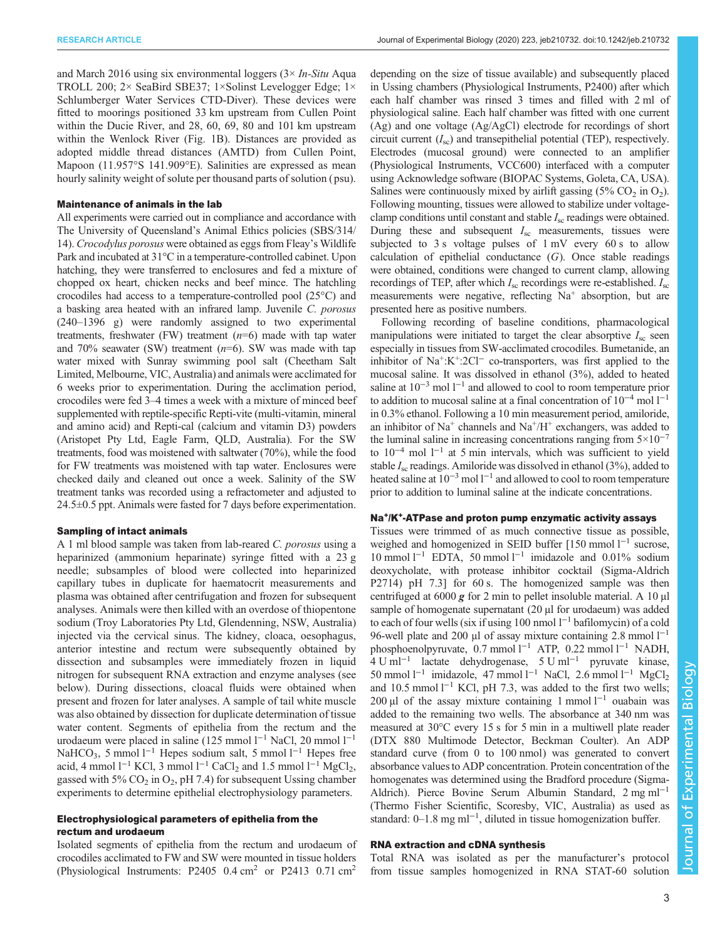and March 2016 using six environmental loggers  $(3 \times In-Situ)$  Aqua TROLL 200; 2× SeaBird SBE37; 1×Solinst Levelogger Edge; 1× Schlumberger Water Services CTD-Diver). These devices were fitted to moorings positioned 33 km upstream from Cullen Point within the Ducie River, and 28, 60, 69, 80 and 101 km upstream within the Wenlock River [\(Fig. 1](#page-1-0)B). Distances are provided as adopted middle thread distances (AMTD) from Cullen Point, Mapoon (11.957°S 141.909°E). Salinities are expressed as mean hourly salinity weight of solute per thousand parts of solution ( psu).

#### Maintenance of animals in the lab

All experiments were carried out in compliance and accordance with The University of Queensland's Animal Ethics policies (SBS/314/ 14). Crocodylus porosus were obtained as eggs from Fleay's Wildlife Park and incubated at 31°C in a temperature-controlled cabinet. Upon hatching, they were transferred to enclosures and fed a mixture of chopped ox heart, chicken necks and beef mince. The hatchling crocodiles had access to a temperature-controlled pool (25°C) and a basking area heated with an infrared lamp. Juvenile C. porosus (240–1396 g) were randomly assigned to two experimental treatments, freshwater (FW) treatment  $(n=6)$  made with tap water and 70% seawater (SW) treatment  $(n=6)$ . SW was made with tap water mixed with Sunray swimming pool salt (Cheetham Salt Limited, Melbourne, VIC, Australia) and animals were acclimated for 6 weeks prior to experimentation. During the acclimation period, crocodiles were fed 3–4 times a week with a mixture of minced beef supplemented with reptile-specific Repti-vite (multi-vitamin, mineral and amino acid) and Repti-cal (calcium and vitamin D3) powders (Aristopet Pty Ltd, Eagle Farm, QLD, Australia). For the SW treatments, food was moistened with saltwater (70%), while the food for FW treatments was moistened with tap water. Enclosures were checked daily and cleaned out once a week. Salinity of the SW treatment tanks was recorded using a refractometer and adjusted to 24.5±0.5 ppt. Animals were fasted for 7 days before experimentation.

#### Sampling of intact animals

A 1 ml blood sample was taken from lab-reared C. porosus using a heparinized (ammonium heparinate) syringe fitted with a 23 g needle; subsamples of blood were collected into heparinized capillary tubes in duplicate for haematocrit measurements and plasma was obtained after centrifugation and frozen for subsequent analyses. Animals were then killed with an overdose of thiopentone sodium (Troy Laboratories Pty Ltd, Glendenning, NSW, Australia) injected via the cervical sinus. The kidney, cloaca, oesophagus, anterior intestine and rectum were subsequently obtained by dissection and subsamples were immediately frozen in liquid nitrogen for subsequent RNA extraction and enzyme analyses (see below). During dissections, cloacal fluids were obtained when present and frozen for later analyses. A sample of tail white muscle was also obtained by dissection for duplicate determination of tissue water content. Segments of epithelia from the rectum and the urodaeum were placed in saline (125 mmol l−<sup>1</sup> NaCl, 20 mmol l−<sup>1</sup> NaHCO<sub>3</sub>, 5 mmol l<sup>−1</sup> Hepes sodium salt, 5 mmol l<sup>−1</sup> Hepes free acid, 4 mmol  $l^{-1}$  KCl, 3 mmol  $l^{-1}$  CaCl<sub>2</sub> and 1.5 mmol  $l^{-1}$  MgCl<sub>2</sub>, gassed with 5%  $CO<sub>2</sub>$  in  $O<sub>2</sub>$ , pH 7.4) for subsequent Ussing chamber experiments to determine epithelial electrophysiology parameters.

## Electrophysiological parameters of epithelia from the rectum and urodaeum

Isolated segments of epithelia from the rectum and urodaeum of crocodiles acclimated to FW and SW were mounted in tissue holders (Physiological Instruments: P2405 0.4 cm<sup>2</sup> or P2413 0.71 cm<sup>2</sup>

depending on the size of tissue available) and subsequently placed in Ussing chambers (Physiological Instruments, P2400) after which each half chamber was rinsed 3 times and filled with 2 ml of physiological saline. Each half chamber was fitted with one current (Ag) and one voltage (Ag/AgCl) electrode for recordings of short circuit current  $(I_{\rm sc})$  and transepithelial potential (TEP), respectively. Electrodes (mucosal ground) were connected to an amplifier (Physiological Instruments, VCC600) interfaced with a computer using Acknowledge software (BIOPAC Systems, Goleta, CA, USA). Salines were continuously mixed by airlift gassing  $(5\% \text{ CO}_2 \text{ in O}_2)$ . Following mounting, tissues were allowed to stabilize under voltageclamp conditions until constant and stable  $I_{\rm sc}$  readings were obtained. During these and subsequent  $I_{\rm sc}$  measurements, tissues were subjected to 3 s voltage pulses of  $1 \text{ mV}$  every 60 s to allow calculation of epithelial conductance  $(G)$ . Once stable readings were obtained, conditions were changed to current clamp, allowing recordings of TEP, after which  $I_{\rm sc}$  recordings were re-established.  $I_{\rm sc}$ measurements were negative, reflecting  $Na<sup>+</sup>$  absorption, but are presented here as positive numbers.

Following recording of baseline conditions, pharmacological manipulations were initiated to target the clear absorptive  $I_{\rm sc}$  seen especially in tissues from SW-acclimated crocodiles. Bumetanide, an inhibitor of Na<sup>+</sup>:K<sup>+</sup>:2Cl<sup>−</sup> co-transporters, was first applied to the mucosal saline. It was dissolved in ethanol (3%), added to heated saline at  $10^{-3}$  mol l<sup>-1</sup> and allowed to cool to room temperature prior to addition to mucosal saline at a final concentration of 10−<sup>4</sup> mol l−<sup>1</sup> in 0.3% ethanol. Following a 10 min measurement period, amiloride, an inhibitor of  $Na<sup>+</sup>$  channels and  $Na<sup>+</sup>/H<sup>+</sup>$  exchangers, was added to the luminal saline in increasing concentrations ranging from  $5\times10^{-7}$ to  $10^{-4}$  mol  $1^{-1}$  at 5 min intervals, which was sufficient to yield stable  $I_{\rm sc}$  readings. Amiloride was dissolved in ethanol (3%), added to heated saline at  $10^{-3}$  mol  $1^{-1}$  and allowed to cool to room temperature prior to addition to luminal saline at the indicate concentrations.

# Na+/K+-ATPase and proton pump enzymatic activity assays

Tissues were trimmed of as much connective tissue as possible, weighed and homogenized in SEID buffer [150 mmol l<sup>−1</sup> sucrose, 10 mmol l−<sup>1</sup> EDTA, 50 mmol l−<sup>1</sup> imidazole and 0.01% sodium deoxycholate, with protease inhibitor cocktail (Sigma-Aldrich P2714) pH 7.3] for 60 s. The homogenized sample was then centrifuged at  $6000 g$  for 2 min to pellet insoluble material. A 10 µl sample of homogenate supernatant (20 µl for urodaeum) was added to each of four wells (six if using 100 nmol  $l^{-1}$  bafilomycin) of a cold 96-well plate and 200 μl of assay mixture containing 2.8 mmol  $l^{-1}$ phosphoenolpyruvate, 0.7 mmol l<sup>-1</sup> ATP, 0.22 mmol l<sup>-1</sup> NADH, 4 U ml−<sup>1</sup> lactate dehydrogenase, 5 U ml−<sup>1</sup> pyruvate kinase, 50 mmol l−<sup>1</sup> imidazole, 47 mmol l−<sup>1</sup> NaCl, 2.6 mmol l−<sup>1</sup> MgCl2 and 10.5 mmol  $l^{-1}$  KCl, pH 7.3, was added to the first two wells; 200 µl of the assay mixture containing 1 mmol  $l^{-1}$  ouabain was added to the remaining two wells. The absorbance at 340 nm was measured at 30°C every 15 s for 5 min in a multiwell plate reader (DTX 880 Multimode Detector, Beckman Coulter). An ADP standard curve (from 0 to 100 nmol) was generated to convert absorbance values to ADP concentration. Protein concentration of the homogenates was determined using the Bradford procedure (Sigma-Aldrich). Pierce Bovine Serum Albumin Standard, 2 mg ml−<sup>1</sup> (Thermo Fisher Scientific, Scoresby, VIC, Australia) as used as standard: 0–1.8 mg ml<sup>-1</sup>, diluted in tissue homogenization buffer.

## RNA extraction and cDNA synthesis

Total RNA was isolated as per the manufacturer's protocol from tissue samples homogenized in RNA STAT-60 solution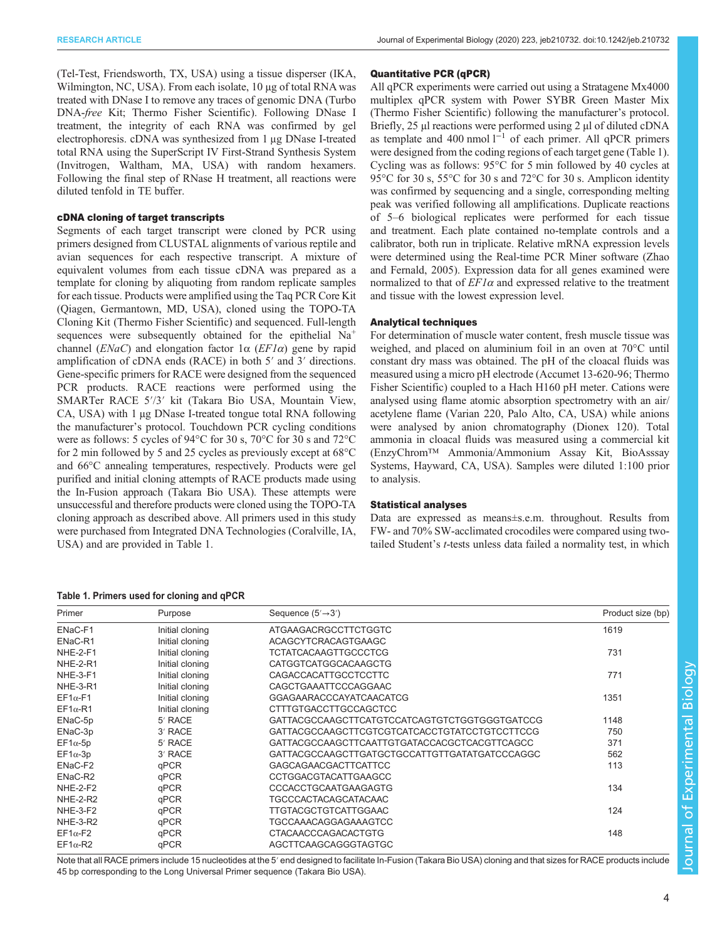(Tel-Test, Friendsworth, TX, USA) using a tissue disperser (IKA, Wilmington, NC, USA). From each isolate, 10 µg of total RNA was treated with DNase I to remove any traces of genomic DNA (Turbo DNA-free Kit; Thermo Fisher Scientific). Following DNase I treatment, the integrity of each RNA was confirmed by gel electrophoresis. cDNA was synthesized from 1 μg DNase I-treated total RNA using the SuperScript IV First-Strand Synthesis System (Invitrogen, Waltham, MA, USA) with random hexamers. Following the final step of RNase H treatment, all reactions were diluted tenfold in TE buffer.

## cDNA cloning of target transcripts

Segments of each target transcript were cloned by PCR using primers designed from CLUSTAL alignments of various reptile and avian sequences for each respective transcript. A mixture of equivalent volumes from each tissue cDNA was prepared as a template for cloning by aliquoting from random replicate samples for each tissue. Products were amplified using the Taq PCR Core Kit (Qiagen, Germantown, MD, USA), cloned using the TOPO-TA Cloning Kit (Thermo Fisher Scientific) and sequenced. Full-length sequences were subsequently obtained for the epithelial  $Na<sup>+</sup>$ channel ( $ENaC$ ) and elongation factor  $1\alpha$  ( $EFI\alpha$ ) gene by rapid amplification of cDNA ends (RACE) in both 5′ and 3′ directions. Gene-specific primers for RACE were designed from the sequenced PCR products. RACE reactions were performed using the SMARTer RACE 5′/3′ kit (Takara Bio USA, Mountain View, CA, USA) with 1 µg DNase I-treated tongue total RNA following the manufacturer's protocol. Touchdown PCR cycling conditions were as follows: 5 cycles of 94°C for 30 s, 70°C for 30 s and 72°C for 2 min followed by 5 and 25 cycles as previously except at 68°C and 66°C annealing temperatures, respectively. Products were gel purified and initial cloning attempts of RACE products made using the In-Fusion approach (Takara Bio USA). These attempts were unsuccessful and therefore products were cloned using the TOPO-TA cloning approach as described above. All primers used in this study were purchased from Integrated DNA Technologies (Coralville, IA, USA) and are provided in Table 1.

#### Table 1. Primers used for cloning and qPCR

# Quantitative PCR (qPCR) All qPCR experiments were carried out using a Stratagene Mx4000

multiplex qPCR system with Power SYBR Green Master Mix (Thermo Fisher Scientific) following the manufacturer's protocol. Briefly, 25 µl reactions were performed using 2 µl of diluted cDNA as template and 400 nmol  $l^{-1}$  of each primer. All qPCR primers were designed from the coding regions of each target gene (Table 1). Cycling was as follows: 95°C for 5 min followed by 40 cycles at 95°C for 30 s, 55°C for 30 s and 72°C for 30 s. Amplicon identity was confirmed by sequencing and a single, corresponding melting peak was verified following all amplifications. Duplicate reactions of 5–6 biological replicates were performed for each tissue and treatment. Each plate contained no-template controls and a calibrator, both run in triplicate. Relative mRNA expression levels were determined using the Real-time PCR Miner software ([Zhao](#page-9-0) [and Fernald, 2005](#page-9-0)). Expression data for all genes examined were normalized to that of  $EFI\alpha$  and expressed relative to the treatment and tissue with the lowest expression level.

#### Analytical techniques

For determination of muscle water content, fresh muscle tissue was weighed, and placed on aluminium foil in an oven at 70°C until constant dry mass was obtained. The pH of the cloacal fluids was measured using a micro pH electrode (Accumet 13-620-96; Thermo Fisher Scientific) coupled to a Hach H160 pH meter. Cations were analysed using flame atomic absorption spectrometry with an air/ acetylene flame (Varian 220, Palo Alto, CA, USA) while anions were analysed by anion chromatography (Dionex 120). Total ammonia in cloacal fluids was measured using a commercial kit (EnzyChrom™ Ammonia/Ammonium Assay Kit, BioAsssay Systems, Hayward, CA, USA). Samples were diluted 1:100 prior to analysis.

#### Statistical analyses

Data are expressed as means±s.e.m. throughout. Results from FW- and 70% SW-acclimated crocodiles were compared using twotailed Student's t-tests unless data failed a normality test, in which

| Primer          | Purpose             | Sequence $(5' \rightarrow 3')$                | Product size (bp) |
|-----------------|---------------------|-----------------------------------------------|-------------------|
| ENaC-F1         | Initial cloning     | ATGAAGACRGCCTTCTGGTC                          | 1619              |
| ENaC-R1         | Initial cloning     | <b>ACAGCYTCRACAGTGAAGC</b>                    |                   |
| NHE-2-F1        | Initial cloning     | <b>TCTATCACAAGTTGCCCTCG</b>                   | 731               |
| <b>NHE-2-R1</b> | Initial cloning     | <b>CATGGTCATGGCACAAGCTG</b>                   |                   |
| NHE-3-F1        | Initial cloning     | <b>CAGACCACATTGCCTCCTTC</b>                   | 771               |
| <b>NHE-3-R1</b> | Initial cloning     | CAGCTGAAATTCCCAGGAAC                          |                   |
| $EF1\alpha$ -F1 | Initial cloning     | <b>GGAGAARACCCAYATCAACATCG</b>                | 1351              |
| $EF1\alpha$ -R1 | Initial cloning     | <b>CTTTGTGACCTTGCCAGCTCC</b>                  |                   |
| ENaC-5p         | 5 <sup>'</sup> RACE |                                               | 1148              |
| ENaC-3p         | 3' RACE             | GATTACGCCAAGCTTCGTCGTCATCACCTGTATCCTGTCCTTCCG | 750               |
| $EF1\alpha-5p$  | 5 <sup>'</sup> RACE | GATTACGCCAAGCTTCAATTGTGATACCACGCTCACGTTCAGCC  | 371               |
| $EF1\alpha-3p$  | 3' RACE             | GATTACGCCAAGCTTGATGCTGCCATTGTTGATATGATCCCAGGC | 562               |
| ENaC-F2         | qPCR                | <b>GAGCAGAACGACTTCATTCC</b>                   | 113               |
| ENaC-R2         | qPCR                | <b>CCTGGACGTACATTGAAGCC</b>                   |                   |
| <b>NHE-2-F2</b> | qPCR                | CCCACCTGCAATGAAGAGTG                          | 134               |
| <b>NHE-2-R2</b> | qPCR                | <b>TGCCCACTACAGCATACAAC</b>                   |                   |
| NHE-3-F2        | qPCR                | <b>TTGTACGCTGTCATTGGAAC</b>                   | 124               |
| <b>NHE-3-R2</b> | qPCR                | TGCCAAACAGGAGAAAGTCC                          |                   |
| $EF1\alpha$ -F2 | qPCR                | <b>CTACAACCCAGACACTGTG</b>                    | 148               |
| $EF1\alpha$ -R2 | qPCR                | AGCTTCAAGCAGGGTAGTGC                          |                   |

Note that all RACE primers include 15 nucleotides at the 5' end designed to facilitate In-Fusion (Takara Bio USA) cloning and that sizes for RACE products include 45 bp corresponding to the Long Universal Primer sequence (Takara Bio USA).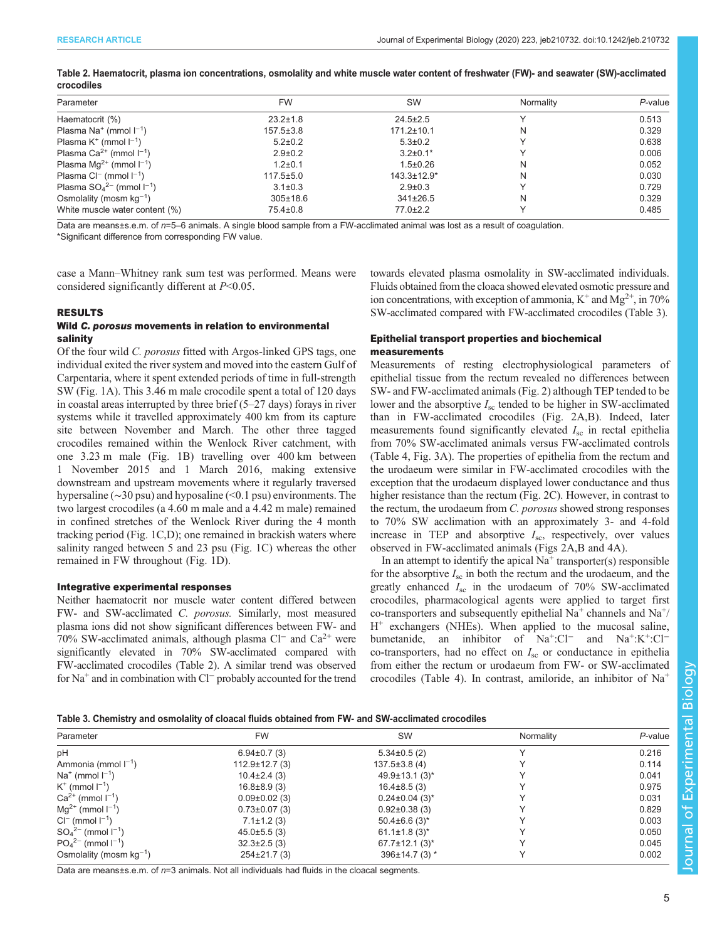| Parameter                                | <b>FW</b>       | <b>SW</b>          | Normality | $P$ -value |
|------------------------------------------|-----------------|--------------------|-----------|------------|
| Haematocrit (%)                          | $23.2 \pm 1.8$  | $24.5 \pm 2.5$     |           | 0.513      |
| Plasma Na <sup>+</sup> (mmol $I^{-1}$ )  | $157.5 \pm 3.8$ | $171.2 \pm 10.1$   |           | 0.329      |
| Plasma $K^+$ (mmol $I^{-1}$ )            | $5.2 \pm 0.2$   | $5.3 \pm 0.2$      |           | 0.638      |
| Plasma Ca <sup>2+</sup> (mmol $I^{-1}$ ) | $2.9 \pm 0.2$   | $3.2 \pm 0.1*$     |           | 0.006      |
| Plasma $Mq^{2+}$ (mmol $I^{-1}$ )        | $1.2 \pm 0.1$   | $1.5 \pm 0.26$     |           | 0.052      |
| Plasma $Cl^{-}$ (mmol $I^{-1}$ )         | $117.5 \pm 5.0$ | $143.3 \pm 12.9^*$ | N         | 0.030      |
| Plasma $SO_4^{2-}$ (mmol $I^{-1}$ )      | $3.1 \pm 0.3$   | $2.9 \pm 0.3$      |           | 0.729      |
| Osmolality (mosm $kg^{-1}$ )             | $305 \pm 18.6$  | $341\pm26.5$       |           | 0.329      |
| White muscle water content (%)           | 75.4±0.8        | 77.0±2.2           |           | 0.485      |
|                                          |                 |                    |           |            |

Table 2. Haematocrit, plasma ion concentrations, osmolality and white muscle water content of freshwater (FW)- and seawater (SW)-acclimated crocodiles

Data are means±s.e.m. of  $n=5-6$  animals. A single blood sample from a FW-acclimated animal was lost as a result of coagulation. \*Significant difference from corresponding FW value.

case a Mann–Whitney rank sum test was performed. Means were considered significantly different at  $P<0.05$ .

#### RESULTS

## Wild C. porosus movements in relation to environmental salinity

Of the four wild C. porosus fitted with Argos-linked GPS tags, one individual exited the river system and moved into the eastern Gulf of Carpentaria, where it spent extended periods of time in full-strength SW [\(Fig. 1](#page-1-0)A). This 3.46 m male crocodile spent a total of 120 days in coastal areas interrupted by three brief (5–27 days) forays in river systems while it travelled approximately 400 km from its capture site between November and March. The other three tagged crocodiles remained within the Wenlock River catchment, with one 3.23 m male [\(Fig. 1B](#page-1-0)) travelling over 400 km between 1 November 2015 and 1 March 2016, making extensive downstream and upstream movements where it regularly traversed hypersaline (∼30 psu) and hyposaline (<0.1 psu) environments. The two largest crocodiles (a 4.60 m male and a 4.42 m male) remained in confined stretches of the Wenlock River during the 4 month tracking period ([Fig. 1C](#page-1-0),D); one remained in brackish waters where salinity ranged between 5 and 23 psu ([Fig. 1](#page-1-0)C) whereas the other remained in FW throughout ([Fig. 1](#page-1-0)D).

#### Integrative experimental responses

Neither haematocrit nor muscle water content differed between FW- and SW-acclimated C. porosus. Similarly, most measured plasma ions did not show significant differences between FW- and 70% SW-acclimated animals, although plasma Cl<sup>−</sup> and Ca2+ were significantly elevated in 70% SW-acclimated compared with FW-acclimated crocodiles (Table 2). A similar trend was observed for Na+ and in combination with Cl<sup>−</sup> probably accounted for the trend towards elevated plasma osmolality in SW-acclimated individuals. Fluids obtained from the cloaca showed elevated osmotic pressure and ion concentrations, with exception of ammonia,  $K^+$  and  $Mg^{2+}$ , in 70% SW-acclimated compared with FW-acclimated crocodiles (Table 3).

## Epithelial transport properties and biochemical measurements

Measurements of resting electrophysiological parameters of epithelial tissue from the rectum revealed no differences between SW- and FW-acclimated animals ([Fig. 2](#page-5-0)) although TEP tended to be lower and the absorptive  $I_{\rm sc}$  tended to be higher in SW-acclimated than in FW-acclimated crocodiles ([Fig. 2A](#page-5-0),B). Indeed, later measurements found significantly elevated  $I_{\rm sc}$  in rectal epithelia from 70% SW-acclimated animals versus FW-acclimated controls [\(Table 4,](#page-5-0) [Fig. 3A](#page-6-0)). The properties of epithelia from the rectum and the urodaeum were similar in FW-acclimated crocodiles with the exception that the urodaeum displayed lower conductance and thus higher resistance than the rectum ([Fig. 2C](#page-5-0)). However, in contrast to the rectum, the urodaeum from C. porosus showed strong responses to 70% SW acclimation with an approximately 3- and 4-fold increase in TEP and absorptive  $I_{\rm sc}$ , respectively, over values observed in FW-acclimated animals ([Figs 2](#page-5-0)A,B and [4A\)](#page-6-0).

In an attempt to identify the apical  $Na<sup>+</sup>$  transporter(s) responsible for the absorptive  $I_{\rm sc}$  in both the rectum and the urodaeum, and the greatly enhanced  $I_{\text{sc}}$  in the urodaeum of 70% SW-acclimated crocodiles, pharmacological agents were applied to target first co-transporters and subsequently epithelial  $Na<sup>+</sup>$  channels and  $Na<sup>+</sup>/$  $H^+$  exchangers (NHEs). When applied to the mucosal saline, bumetanide, an inhibitor of Na<sup>+</sup>:Cl<sup>−</sup> and Na<sup>+</sup>:K<sup>+</sup>:Cl<sup>−</sup> co-transporters, had no effect on  $I_{\rm sc}$  or conductance in epithelia from either the rectum or urodaeum from FW- or SW-acclimated crocodiles ([Table 4\)](#page-5-0). In contrast, amiloride, an inhibitor of Na<sup>+</sup>

#### Table 3. Chemistry and osmolality of cloacal fluids obtained from FW- and SW-acclimated crocodiles

| Parameter                    | <b>FW</b>           | SW                               | Normality | P-value |
|------------------------------|---------------------|----------------------------------|-----------|---------|
| pH                           | $6.94\pm0.7(3)$     | $5.34\pm0.5(2)$                  |           | 0.216   |
| Ammonia (mmol $I^{-1}$ )     | $112.9 \pm 12.7(3)$ | $137.5 \pm 3.8$ (4)              |           | 0.114   |
| $Na^+$ (mmol $I^{-1}$ )      | $10.4\pm2.4(3)$     | $49.9 \pm 13.1(3)^*$             |           | 0.041   |
| $K^+$ (mmol $I^{-1}$ )       | $16.8 \pm 8.9(3)$   | $16.4\pm8.5(3)$                  |           | 0.975   |
| $Ca^{2+}$ (mmol $I^{-1}$ )   | $0.09\pm0.02$ (3)   | $0.24 \pm 0.04$ (3) <sup>*</sup> |           | 0.031   |
| $Mg^{2+}$ (mmol $I^{-1}$ )   | $0.73 \pm 0.07$ (3) | $0.92\pm0.38(3)$                 |           | 0.829   |
| $Cl^{-}$ (mmol $I^{-1}$ )    | $7.1 \pm 1.2$ (3)   | $50.4\pm6.6(3)^{*}$              |           | 0.003   |
| $SO_4^{2-}$ (mmol $I^{-1}$ ) | $45.0\pm5.5(3)$     | $61.1 \pm 1.8$ (3)*              |           | 0.050   |
| $PO_4^{2-}$ (mmol $I^{-1}$ ) | $32.3 \pm 2.5$ (3)  | $67.7 \pm 12.1$ (3)*             |           | 0.045   |
| Osmolality (mosm $kq^{-1}$ ) | $254\pm21.7(3)$     | 396±14.7 (3) *                   |           | 0.002   |

Data are means±s.e.m. of  $n=3$  animals. Not all individuals had fluids in the cloacal segments.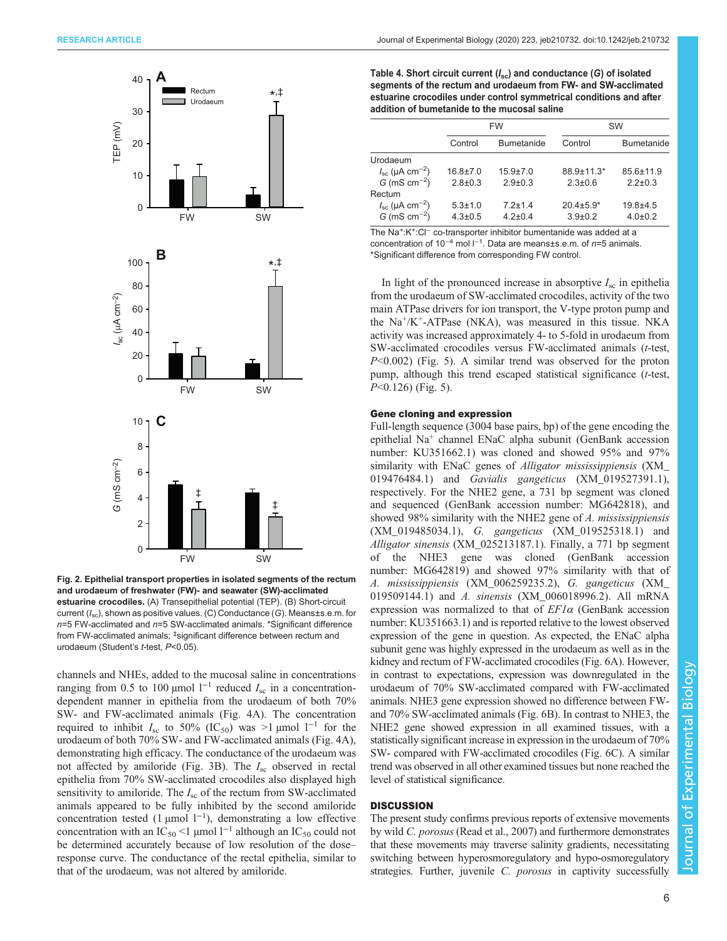<span id="page-5-0"></span>

Fig. 2. Epithelial transport properties in isolated segments of the rectum and urodaeum of freshwater (FW)- and seawater (SW)-acclimated estuarine crocodiles. (A) Transepithelial potential (TEP). (B) Short-circuit current (I<sub>sc</sub>), shown as positive values. (C) Conductance (G). Means±s.e.m. for  $n=5$  FW-acclimated and  $n=5$  SW-acclimated animals. \*Significant difference from FW-acclimated animals; ‡significant difference between rectum and urodaeum (Student's t-test, P<0.05).

channels and NHEs, added to the mucosal saline in concentrations ranging from 0.5 to 100 μmol  $l^{-1}$  reduced  $I_{\rm sc}$  in a concentrationdependent manner in epithelia from the urodaeum of both 70% SW- and FW-acclimated animals ([Fig. 4A](#page-6-0)). The concentration required to inhibit  $I_{\rm sc}$  to 50% (IC<sub>50</sub>) was >1 µmol 1<sup>-1</sup> for the urodaeum of both 70% SW- and FW-acclimated animals ([Fig. 4A](#page-6-0)), demonstrating high efficacy. The conductance of the urodaeum was not affected by amiloride [\(Fig. 3B](#page-6-0)). The  $I_{\rm sc}$  observed in rectal epithelia from 70% SW-acclimated crocodiles also displayed high sensitivity to amiloride. The  $I_{\rm sc}$  of the rectum from SW-acclimated animals appeared to be fully inhibited by the second amiloride concentration tested (1 µmol  $1^{-1}$ ), demonstrating a low effective concentration with an IC<sub>50</sub> <1 µmol l<sup>-1</sup> although an IC<sub>50</sub> could not be determined accurately because of low resolution of the dose– response curve. The conductance of the rectal epithelia, similar to that of the urodaeum, was not altered by amiloride.

Table 4. Short circuit current  $(I_{sc})$  and conductance (G) of isolated segments of the rectum and urodaeum from FW- and SW-acclimated estuarine crocodiles under control symmetrical conditions and after addition of bumetanide to the mucosal saline

|                                     |                | <b>FW</b>         |                 | <b>SW</b>         |  |
|-------------------------------------|----------------|-------------------|-----------------|-------------------|--|
|                                     | Control        | <b>Bumetanide</b> | Control         | <b>Bumetanide</b> |  |
| Urodaeum                            |                |                   |                 |                   |  |
| $I_{\rm sc}$ (µA cm <sup>-2</sup> ) | $16.8 \pm 7.0$ | $15.9 \pm 7.0$    | 88 9+11 3*      | $856+119$         |  |
| $G$ (mS cm <sup>-2</sup> )          | $2.8 \pm 0.3$  | $2.9 \pm 0.3$     | $2.3 \pm 0.6$   | $2.2 \pm 0.3$     |  |
| Rectum                              |                |                   |                 |                   |  |
| $I_{\rm sc}$ (µA cm <sup>-2</sup> ) | $5.3 \pm 1.0$  | $72+14$           | $20.4 \pm 5.9*$ | $19.8 + 4.5$      |  |
| G (mS $cm^{-2}$ )                   | $4.3 \pm 0.5$  | $42+04$           | $3.9 \pm 0.2$   | $4.0 \pm 0.2$     |  |

The Na+:K+:Cl<sup>−</sup> co-transporter inhibitor bumentanide was added at a concentration of 10<sup>-4</sup> mol  $I^{-1}$ . Data are means±s.e.m. of n=5 animals. \*Significant difference from corresponding FW control.

In light of the pronounced increase in absorptive  $I_{\rm sc}$  in epithelia from the urodaeum of SW-acclimated crocodiles, activity of the two main ATPase drivers for ion transport, the V-type proton pump and the  $Na^+/K^+$ -ATPase (NKA), was measured in this tissue. NKA activity was increased approximately 4- to 5-fold in urodaeum from SW-acclimated crocodiles versus FW-acclimated animals (t-test,  $P<0.002$ ) ([Fig. 5\)](#page-7-0). A similar trend was observed for the proton pump, although this trend escaped statistical significance (*t*-test,  $P<0.126$ ) [\(Fig. 5\)](#page-7-0).

## Gene cloning and expression

Full-length sequence (3004 base pairs, bp) of the gene encoding the epithelial Na<sup>+</sup> channel ENaC alpha subunit (GenBank accession number: [KU351662.1](https://www.ncbi.nlm.nih.gov/nuccore/KU351662.1)) was cloned and showed 95% and 97% similarity with ENaC genes of Alligator mississippiensis ([XM\\_](https://www.ncbi.nlm.nih.gov/nuccore/XM_019476484.1) [019476484.1\)](https://www.ncbi.nlm.nih.gov/nuccore/XM_019476484.1) and Gavialis gangeticus ([XM\\_019527391.1\)](https://www.ncbi.nlm.nih.gov/nuccore/XM_019527391.1), respectively. For the NHE2 gene, a 731 bp segment was cloned and sequenced (GenBank accession number: [MG642818\)](https://www.ncbi.nlm.nih.gov/nuccore/MG642818), and showed 98% similarity with the NHE2 gene of A. mississippiensis [\(XM\\_019485034.1](https://www.ncbi.nlm.nih.gov/nuccore/XM_019485034.1)), G. gangeticus ([XM\\_019525318.1\)](https://www.ncbi.nlm.nih.gov/nuccore/XM_019525318.1) and Alligator sinensis ([XM\\_025213187.1\)](https://www.ncbi.nlm.nih.gov/nuccore/XM_025213187.1). Finally, a 771 bp segment of the NHE3 gene was cloned (GenBank accession number: [MG642819](https://www.ncbi.nlm.nih.gov/nuccore/MG642819)) and showed 97% similarity with that of A. mississippiensis [\(XM\\_006259235.2](https://www.ncbi.nlm.nih.gov/nuccore/XM_006259235.2)), G. gangeticus ([XM\\_](https://www.ncbi.nlm.nih.gov/nuccore/XM_019509144.1) [019509144.1\)](https://www.ncbi.nlm.nih.gov/nuccore/XM_019509144.1) and A. sinensis [\(XM\\_006018996.2](https://www.ncbi.nlm.nih.gov/nuccore/XM_006018996.2)). All mRNA expression was normalized to that of  $EFI\alpha$  (GenBank accession number: [KU351663.1](https://www.ncbi.nlm.nih.gov/nuccore/KU351663.1)) and is reported relative to the lowest observed expression of the gene in question. As expected, the ENaC alpha subunit gene was highly expressed in the urodaeum as well as in the kidney and rectum of FW-acclimated crocodiles ([Fig. 6](#page-7-0)A). However, in contrast to expectations, expression was downregulated in the urodaeum of 70% SW-acclimated compared with FW-acclimated animals. NHE3 gene expression showed no difference between FWand 70% SW-acclimated animals [\(Fig. 6B](#page-7-0)). In contrast to NHE3, the NHE2 gene showed expression in all examined tissues, with a statistically significant increase in expression in the urodaeum of 70% SW- compared with FW-acclimated crocodiles ([Fig. 6C](#page-7-0)). A similar trend was observed in all other examined tissues but none reached the level of statistical significance.

#### **DISCUSSION**

The present study confirms previous reports of extensive movements by wild C. porosus [\(Read et al., 2007](#page-9-0)) and furthermore demonstrates that these movements may traverse salinity gradients, necessitating switching between hyperosmoregulatory and hypo-osmoregulatory strategies. Further, juvenile C. *porosus* in captivity successfully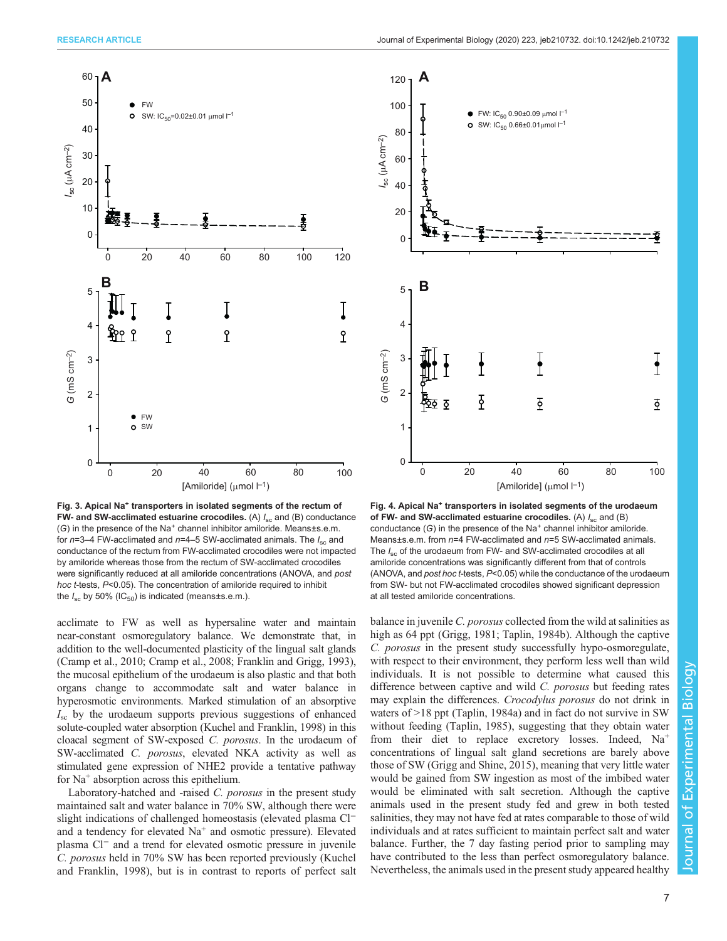<span id="page-6-0"></span>

Fig. 3. Apical Na<sup>+</sup> transporters in isolated segments of the rectum of FW- and SW-acclimated estuarine crocodiles. (A)  $I_{\rm sc}$  and (B) conductance  $(G)$  in the presence of the Na<sup>+</sup> channel inhibitor amiloride. Means±s.e.m. for  $n=3-4$  FW-acclimated and  $n=4-5$  SW-acclimated animals. The  $I_{\rm sc}$  and conductance of the rectum from FW-acclimated crocodiles were not impacted by amiloride whereas those from the rectum of SW-acclimated crocodiles were significantly reduced at all amiloride concentrations (ANOVA, and post hoc t-tests, P<0.05). The concentration of amiloride required to inhibit the  $I_{\rm sc}$  by 50% (IC<sub>50</sub>) is indicated (means±s.e.m.).

acclimate to FW as well as hypersaline water and maintain near-constant osmoregulatory balance. We demonstrate that, in addition to the well-documented plasticity of the lingual salt glands [\(Cramp et al., 2010](#page-8-0); [Cramp et al., 2008; Franklin and Grigg, 1993\)](#page-8-0), the mucosal epithelium of the urodaeum is also plastic and that both organs change to accommodate salt and water balance in hyperosmotic environments. Marked stimulation of an absorptive  $I_{\rm sc}$  by the urodaeum supports previous suggestions of enhanced solute-coupled water absorption ([Kuchel and Franklin, 1998](#page-8-0)) in this cloacal segment of SW-exposed C. porosus. In the urodaeum of SW-acclimated C. porosus, elevated NKA activity as well as stimulated gene expression of NHE2 provide a tentative pathway for Na<sup>+</sup> absorption across this epithelium.

Laboratory-hatched and -raised C. porosus in the present study maintained salt and water balance in 70% SW, although there were slight indications of challenged homeostasis (elevated plasma Cl<sup>−</sup> and a tendency for elevated  $Na<sup>+</sup>$  and osmotic pressure). Elevated plasma Cl<sup>−</sup> and a trend for elevated osmotic pressure in juvenile C. porosus held in 70% SW has been reported previously ([Kuchel](#page-8-0) [and Franklin, 1998\)](#page-8-0), but is in contrast to reports of perfect salt



Fig. 4. Apical Na<sup>+</sup> transporters in isolated segments of the urodaeum of FW- and SW-acclimated estuarine crocodiles. (A)  $I_{\rm sc}$  and (B) conductance  $(G)$  in the presence of the Na<sup>+</sup> channel inhibitor amiloride. Means±s.e.m. from n=4 FW-acclimated and n=5 SW-acclimated animals. The  $I_{\rm sc}$  of the urodaeum from FW- and SW-acclimated crocodiles at all amiloride concentrations was significantly different from that of controls (ANOVA, and post hoc t-tests, P<0.05) while the conductance of the urodaeum from SW- but not FW-acclimated crocodiles showed significant depression at all tested amiloride concentrations.

balance in juvenile C. porosus collected from the wild at salinities as high as 64 ppt [\(Grigg, 1981](#page-8-0); [Taplin, 1984b\)](#page-9-0). Although the captive C. porosus in the present study successfully hypo-osmoregulate, with respect to their environment, they perform less well than wild individuals. It is not possible to determine what caused this difference between captive and wild C. porosus but feeding rates may explain the differences. Crocodylus porosus do not drink in waters of >18 ppt ([Taplin, 1984a](#page-9-0)) and in fact do not survive in SW without feeding ([Taplin, 1985\)](#page-9-0), suggesting that they obtain water from their diet to replace excretory losses. Indeed, Na<sup>+</sup> concentrations of lingual salt gland secretions are barely above those of SW [\(Grigg and Shine, 2015\)](#page-8-0), meaning that very little water would be gained from SW ingestion as most of the imbibed water would be eliminated with salt secretion. Although the captive animals used in the present study fed and grew in both tested salinities, they may not have fed at rates comparable to those of wild individuals and at rates sufficient to maintain perfect salt and water balance. Further, the 7 day fasting period prior to sampling may have contributed to the less than perfect osmoregulatory balance. Nevertheless, the animals used in the present study appeared healthy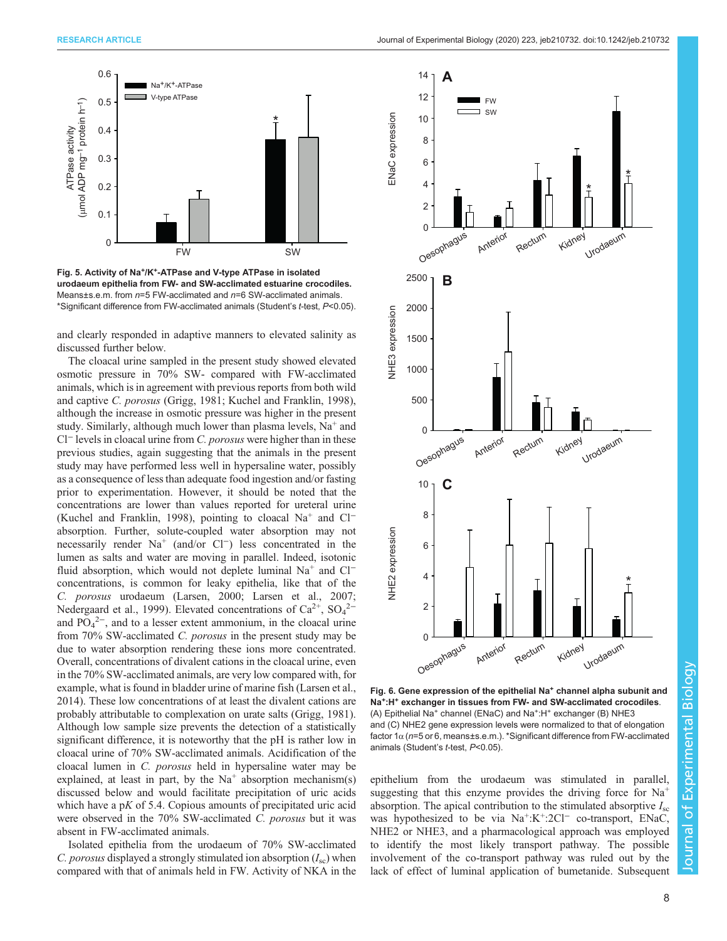<span id="page-7-0"></span>

Fig. 5. Activity of Na<sup>+</sup>/K<sup>+</sup>-ATPase and V-type ATPase in isolated urodaeum epithelia from FW- and SW-acclimated estuarine crocodiles. Means±s.e.m. from n=5 FW-acclimated and n=6 SW-acclimated animals. \*Significant difference from FW-acclimated animals (Student's t-test, P<0.05).

and clearly responded in adaptive manners to elevated salinity as discussed further below.

The cloacal urine sampled in the present study showed elevated osmotic pressure in 70% SW- compared with FW-acclimated animals, which is in agreement with previous reports from both wild and captive C. porosus [\(Grigg, 1981](#page-8-0); [Kuchel and Franklin, 1998\)](#page-8-0), although the increase in osmotic pressure was higher in the present study. Similarly, although much lower than plasma levels, Na<sup>+</sup> and Cl<sup>−</sup> levels in cloacal urine from *C. porosus* were higher than in these previous studies, again suggesting that the animals in the present study may have performed less well in hypersaline water, possibly as a consequence of less than adequate food ingestion and/or fasting prior to experimentation. However, it should be noted that the concentrations are lower than values reported for ureteral urine [\(Kuchel and Franklin, 1998](#page-8-0)), pointing to cloacal Na<sup>+</sup> and Cl<sup>−</sup> absorption. Further, solute-coupled water absorption may not necessarily render Na<sup>+</sup> (and/or Cl<sup>−</sup>) less concentrated in the lumen as salts and water are moving in parallel. Indeed, isotonic fluid absorption, which would not deplete luminal Na<sup>+</sup> and Cl<sup>−</sup> concentrations, is common for leaky epithelia, like that of the C. porosus urodaeum ([Larsen, 2000](#page-9-0); [Larsen et al., 2007](#page-9-0); [Nedergaard et al., 1999\)](#page-9-0). Elevated concentrations of  $Ca^{2+}$ ,  $SO_4^{2-}$ and  $PO_4^2$ , and to a lesser extent ammonium, in the cloacal urine from 70% SW-acclimated C. porosus in the present study may be due to water absorption rendering these ions more concentrated. Overall, concentrations of divalent cations in the cloacal urine, even in the 70% SW-acclimated animals, are very low compared with, for example, what is found in bladder urine of marine fish ([Larsen et al.,](#page-9-0) [2014](#page-9-0)). These low concentrations of at least the divalent cations are probably attributable to complexation on urate salts [\(Grigg, 1981\)](#page-8-0). Although low sample size prevents the detection of a statistically significant difference, it is noteworthy that the pH is rather low in cloacal urine of 70% SW-acclimated animals. Acidification of the cloacal lumen in C. porosus held in hypersaline water may be explained, at least in part, by the  $Na<sup>+</sup>$  absorption mechanism(s) discussed below and would facilitate precipitation of uric acids which have a  $pK$  of 5.4. Copious amounts of precipitated uric acid were observed in the 70% SW-acclimated C. porosus but it was absent in FW-acclimated animals.

Isolated epithelia from the urodaeum of 70% SW-acclimated C. porosus displayed a strongly stimulated ion absorption  $(I_{\rm sc})$  when compared with that of animals held in FW. Activity of NKA in the



Fig. 6. Gene expression of the epithelial Na<sup>+</sup> channel alpha subunit and Na<sup>+</sup>:H<sup>+</sup> exchanger in tissues from FW- and SW-acclimated crocodiles. (A) Epithelial Na<sup>+</sup> channel (ENaC) and Na<sup>+</sup>:H<sup>+</sup> exchanger (B) NHE3 and (C) NHE2 gene expression levels were normalized to that of elongation factor 1α (n=5 or 6, means±s.e.m.). \*Significant difference from FW-acclimated animals (Student's t-test, P<0.05).

epithelium from the urodaeum was stimulated in parallel, suggesting that this enzyme provides the driving force for  $Na<sup>+</sup>$ absorption. The apical contribution to the stimulated absorptive  $I_{\rm sc}$ was hypothesized to be via  $Na^+$ : $K^+$ :2Cl<sup>-</sup> co-transport, ENaC, NHE2 or NHE3, and a pharmacological approach was employed to identify the most likely transport pathway. The possible involvement of the co-transport pathway was ruled out by the lack of effect of luminal application of bumetanide. Subsequent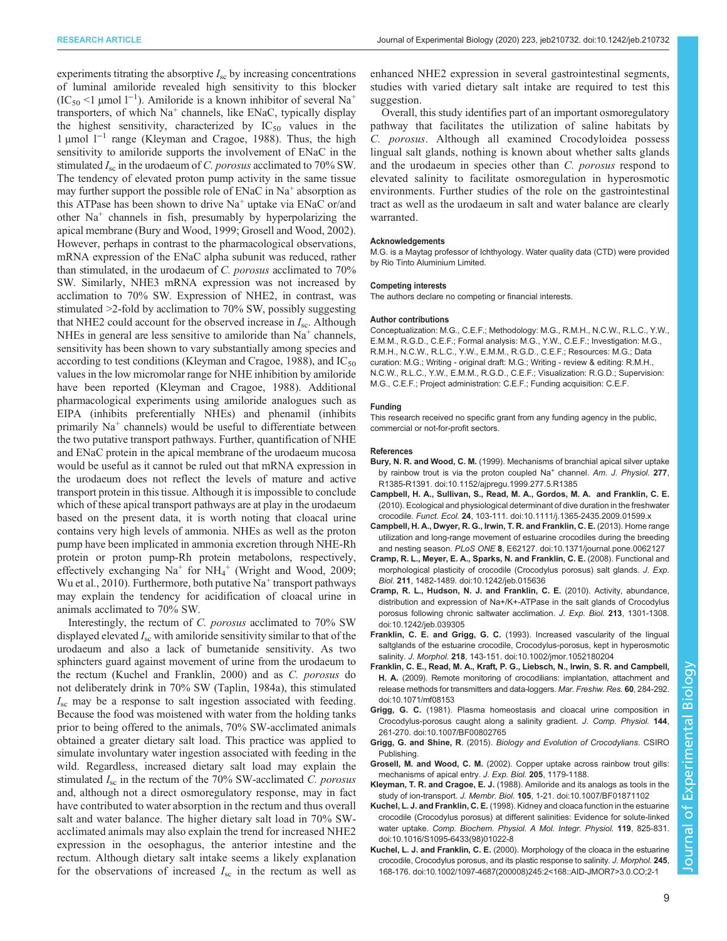<span id="page-8-0"></span>experiments titrating the absorptive  $I_{\rm sc}$  by increasing concentrations of luminal amiloride revealed high sensitivity to this blocker (IC<sub>50</sub> <1 µmol l<sup>-1</sup>). Amiloride is a known inhibitor of several Na<sup>+</sup> transporters, of which  $Na<sup>+</sup>$  channels, like ENaC, typically display the highest sensitivity, characterized by  $IC_{50}$  values in the 1 µmol l−<sup>1</sup> range (Kleyman and Cragoe, 1988). Thus, the high sensitivity to amiloride supports the involvement of ENaC in the stimulated  $I_{\rm sc}$  in the urodaeum of C. porosus acclimated to 70% SW. The tendency of elevated proton pump activity in the same tissue may further support the possible role of  $ENaC$  in  $Na<sup>+</sup>$  absorption as this ATPase has been shown to drive  $Na<sup>+</sup>$  uptake via ENaC or/and other Na<sup>+</sup> channels in fish, presumably by hyperpolarizing the apical membrane (Bury and Wood, 1999; Grosell and Wood, 2002). However, perhaps in contrast to the pharmacological observations, mRNA expression of the ENaC alpha subunit was reduced, rather than stimulated, in the urodaeum of C. porosus acclimated to 70% SW. Similarly, NHE3 mRNA expression was not increased by acclimation to 70% SW. Expression of NHE2, in contrast, was stimulated >2-fold by acclimation to 70% SW, possibly suggesting that NHE2 could account for the observed increase in  $I_{\rm sc}$ . Although NHEs in general are less sensitive to amiloride than  $Na<sup>+</sup>$  channels, sensitivity has been shown to vary substantially among species and according to test conditions (Kleyman and Cragoe, 1988), and  $IC_{50}$ values in the low micromolar range for NHE inhibition by amiloride have been reported (Kleyman and Cragoe, 1988). Additional pharmacological experiments using amiloride analogues such as EIPA (inhibits preferentially NHEs) and phenamil (inhibits primarily  $Na<sup>+</sup>$  channels) would be useful to differentiate between the two putative transport pathways. Further, quantification of NHE and ENaC protein in the apical membrane of the urodaeum mucosa would be useful as it cannot be ruled out that mRNA expression in the urodaeum does not reflect the levels of mature and active transport protein in this tissue. Although it is impossible to conclude which of these apical transport pathways are at play in the urodaeum based on the present data, it is worth noting that cloacal urine contains very high levels of ammonia. NHEs as well as the proton pump have been implicated in ammonia excretion through NHE-Rh protein or proton pump-Rh protein metabolons, respectively, effectively exchanging  $Na^+$  for  $NH_4^+$  [\(Wright and Wood, 2009](#page-9-0); [Wu et al., 2010\)](#page-9-0). Furthermore, both putative  $Na<sup>+</sup>$  transport pathways may explain the tendency for acidification of cloacal urine in animals acclimated to 70% SW.

Interestingly, the rectum of C. porosus acclimated to 70% SW displayed elevated  $I_{\rm sc}$  with amiloride sensitivity similar to that of the urodaeum and also a lack of bumetanide sensitivity. As two sphincters guard against movement of urine from the urodaeum to the rectum (Kuchel and Franklin, 2000) and as C. porosus do not deliberately drink in 70% SW [\(Taplin, 1984a](#page-9-0)), this stimulated  $I_{\rm sc}$  may be a response to salt ingestion associated with feeding. Because the food was moistened with water from the holding tanks prior to being offered to the animals, 70% SW-acclimated animals obtained a greater dietary salt load. This practice was applied to simulate involuntary water ingestion associated with feeding in the wild. Regardless, increased dietary salt load may explain the stimulated  $I_{\rm sc}$  in the rectum of the 70% SW-acclimated C. porosus and, although not a direct osmoregulatory response, may in fact have contributed to water absorption in the rectum and thus overall salt and water balance. The higher dietary salt load in 70% SWacclimated animals may also explain the trend for increased NHE2 expression in the oesophagus, the anterior intestine and the rectum. Although dietary salt intake seems a likely explanation for the observations of increased  $I_{\rm sc}$  in the rectum as well as

enhanced NHE2 expression in several gastrointestinal segments, studies with varied dietary salt intake are required to test this suggestion.

Overall, this study identifies part of an important osmoregulatory pathway that facilitates the utilization of saline habitats by C. porosus. Although all examined Crocodyloidea possess lingual salt glands, nothing is known about whether salts glands and the urodaeum in species other than C. *porosus* respond to elevated salinity to facilitate osmoregulation in hyperosmotic environments. Further studies of the role on the gastrointestinal tract as well as the urodaeum in salt and water balance are clearly warranted.

#### Acknowledgements

M.G. is a Maytag professor of Ichthyology. Water quality data (CTD) were provided by Rio Tinto Aluminium Limited.

## Competing interests

The authors declare no competing or financial interests.

#### Author contributions

Conceptualization: M.G., C.E.F.; Methodology: M.G., R.M.H., N.C.W., R.L.C., Y.W., E.M.M., R.G.D., C.E.F.; Formal analysis: M.G., Y.W., C.E.F.; Investigation: M.G., R.M.H., N.C.W., R.L.C., Y.W., E.M.M., R.G.D., C.E.F.; Resources: M.G.; Data curation: M.G.; Writing - original draft: M.G.; Writing - review & editing: R.M.H., N.C.W., R.L.C., Y.W., E.M.M., R.G.D., C.E.F.; Visualization: R.G.D.; Supervision: M.G., C.E.F.; Project administration: C.E.F.; Funding acquisition: C.E.F.

#### Funding

This research received no specific grant from any funding agency in the public, commercial or not-for-profit sectors.

#### References

- Bury, N. R. and Wood, C. M. [\(1999\). Mechanisms of branchial apical silver uptake](https://doi.org/10.1152/ajpregu.1999.277.5.R1385) by rainbow trout is via the proton coupled  $Na<sup>+</sup>$  channel. [Am. J. Physiol.](https://doi.org/10.1152/ajpregu.1999.277.5.R1385) 277, [R1385-R1391. doi:10.1152/ajpregu.1999.277.5.R1385](https://doi.org/10.1152/ajpregu.1999.277.5.R1385)
- [Campbell, H. A., Sullivan, S., Read, M. A., Gordos, M. A. and Franklin, C. E.](https://doi.org/10.1111/j.1365-2435.2009.01599.x) [\(2010\). Ecological and physiological determinant of dive duration in the freshwater](https://doi.org/10.1111/j.1365-2435.2009.01599.x) crocodile. Funct. Ecol. 24[, 103-111. doi:10.1111/j.1365-2435.2009.01599.x](https://doi.org/10.1111/j.1365-2435.2009.01599.x)
- [Campbell, H. A., Dwyer, R. G., Irwin, T. R. and Franklin, C. E.](https://doi.org/10.1371/journal.pone.0062127) (2013). Home range [utilization and long-range movement of estuarine crocodiles during the breeding](https://doi.org/10.1371/journal.pone.0062127) and nesting season. PLoS ONE 8[, E62127. doi:10.1371/journal.pone.0062127](https://doi.org/10.1371/journal.pone.0062127)
- [Cramp, R. L., Meyer, E. A., Sparks, N. and Franklin, C. E.](https://doi.org/10.1242/jeb.015636) (2008). Functional and [morphological plasticity of crocodile \(Crocodylus porosus\) salt glands.](https://doi.org/10.1242/jeb.015636) J. Exp. Biol. 211[, 1482-1489. doi:10.1242/jeb.015636](https://doi.org/10.1242/jeb.015636)
- [Cramp, R. L., Hudson, N. J. and Franklin, C. E.](https://doi.org/10.1242/jeb.039305) (2010). Activity, abundance, [distribution and expression of Na+/K+-ATPase in the salt glands of Crocodylus](https://doi.org/10.1242/jeb.039305) [porosus following chronic saltwater acclimation.](https://doi.org/10.1242/jeb.039305) J. Exp. Biol. 213, 1301-1308. [doi:10.1242/jeb.039305](https://doi.org/10.1242/jeb.039305)
- Franklin, C. E. and Grigg, G. C. [\(1993\). Increased vascularity of the lingual](http://dx.doi.org/10.1002/jmor.1052180204) [saltglands of the estuarine crocodile, Crocodylus-porosus, kept in hyperosmotic](http://dx.doi.org/10.1002/jmor.1052180204) salinity. J. Morphol. 218[, 143-151. doi:10.1002/jmor.1052180204](http://dx.doi.org/10.1002/jmor.1052180204)
- [Franklin, C. E., Read, M. A., Kraft, P. G., Liebsch, N., Irwin, S. R. and Campbell,](https://doi.org/10.1071/mf08153) H. A. [\(2009\). Remote monitoring of crocodilians: implantation, attachment and](https://doi.org/10.1071/mf08153) [release methods for transmitters and data-loggers.](https://doi.org/10.1071/mf08153) Mar. Freshw. Res. 60, 284-292. [doi:10.1071/mf08153](https://doi.org/10.1071/mf08153)
- Grigg, G. C. [\(1981\). Plasma homeostasis and cloacal urine composition in](https://doi.org/10.1007/BF00802765) [Crocodylus-porosus caught along a salinity gradient.](https://doi.org/10.1007/BF00802765) J. Comp. Physiol. 144, [261-270. doi:10.1007/BF00802765](https://doi.org/10.1007/BF00802765)
- Grigg, G. and Shine, R. (2015). Biology and Evolution of Crocodylians. CSIRO Publishing.
- Grosell, M. and Wood, C. M. (2002). Copper uptake across rainbow trout gills: mechanisms of apical entry. J. Exp. Biol. 205, 1179-1188.
- Kleyman, T. R. and Cragoe, E. J. [\(1988\). Amiloride and its analogs as tools in the](https://doi.org/10.1007/BF01871102) study of ion-transport. J. Membr. Biol. 105[, 1-21. doi:10.1007/BF01871102](https://doi.org/10.1007/BF01871102)
- Kuchel, L. J. and Franklin, C. E. [\(1998\). Kidney and cloaca function in the estuarine](https://doi.org/10.1016/S1095-6433(98)01022-8) [crocodile \(Crocodylus porosus\) at different salinities: Evidence for solute-linked](https://doi.org/10.1016/S1095-6433(98)01022-8) water uptake. [Comp. Biochem. Physiol. A Mol. Integr. Physiol.](https://doi.org/10.1016/S1095-6433(98)01022-8) 119, 825-831. [doi:10.1016/S1095-6433\(98\)01022-8](https://doi.org/10.1016/S1095-6433(98)01022-8)
- Kuchel, L. J. and Franklin, C. E. [\(2000\). Morphology of the cloaca in the estuarine](https://doi.org/10.1002/1097-4687(200008)245:2%3C168::AID-JMOR7%3E3.0.CO;2-1) [crocodile, Crocodylus porosus, and its plastic response to salinity.](https://doi.org/10.1002/1097-4687(200008)245:2%3C168::AID-JMOR7%3E3.0.CO;2-1) J. Morphol. 245, [168-176. doi:10.1002/1097-4687\(200008\)245:2<168::AID-JMOR7>3.0.CO;2-1](https://doi.org/10.1002/1097-4687(200008)245:2%3C168::AID-JMOR7%3E3.0.CO;2-1)